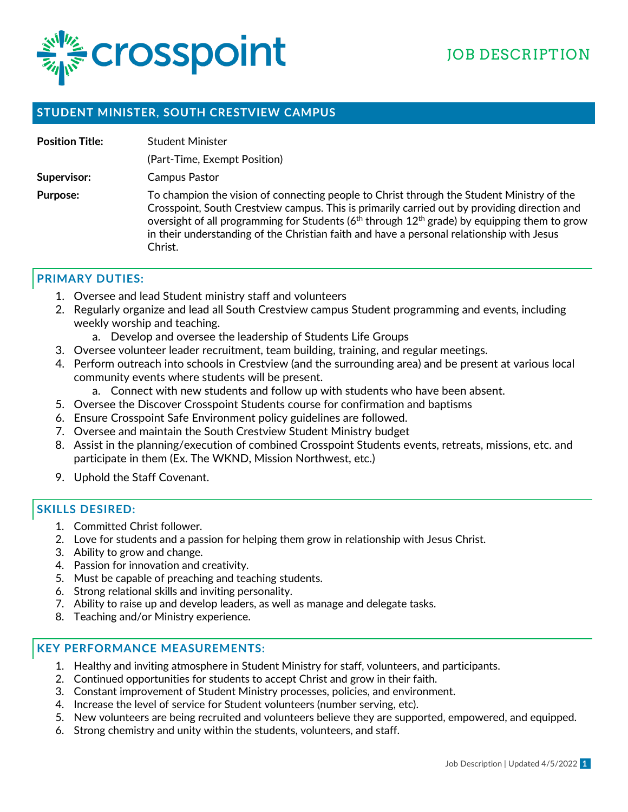

## **STUDENT MINISTER, SOUTH CRESTVIEW CAMPUS**

| <b>Position Title:</b> | <b>Student Minister</b>                                                                                                                                                                                                                                                                                                                                                                                                   |
|------------------------|---------------------------------------------------------------------------------------------------------------------------------------------------------------------------------------------------------------------------------------------------------------------------------------------------------------------------------------------------------------------------------------------------------------------------|
|                        | (Part-Time, Exempt Position)                                                                                                                                                                                                                                                                                                                                                                                              |
| Supervisor:            | Campus Pastor                                                                                                                                                                                                                                                                                                                                                                                                             |
| Purpose:               | To champion the vision of connecting people to Christ through the Student Ministry of the<br>Crosspoint, South Crestview campus. This is primarily carried out by providing direction and<br>oversight of all programming for Students (6 <sup>th</sup> through 12 <sup>th</sup> grade) by equipping them to grow<br>in their understanding of the Christian faith and have a personal relationship with Jesus<br>Christ. |

## **PRIMARY DUTIES:**

- 1. Oversee and lead Student ministry staff and volunteers
- 2. Regularly organize and lead all South Crestview campus Student programming and events, including weekly worship and teaching.
	- a. Develop and oversee the leadership of Students Life Groups
- 3. Oversee volunteer leader recruitment, team building, training, and regular meetings.
- 4. Perform outreach into schools in Crestview (and the surrounding area) and be present at various local community events where students will be present.
	- a. Connect with new students and follow up with students who have been absent.
- 5. Oversee the Discover Crosspoint Students course for confirmation and baptisms
- 6. Ensure Crosspoint Safe Environment policy guidelines are followed.
- 7. Oversee and maintain the South Crestview Student Ministry budget
- 8. Assist in the planning/execution of combined Crosspoint Students events, retreats, missions, etc. and participate in them (Ex. The WKND, Mission Northwest, etc.)
- 9. Uphold the Staff Covenant.

## **SKILLS DESIRED:**

- 1. Committed Christ follower.
- 2. Love for students and a passion for helping them grow in relationship with Jesus Christ.
- 3. Ability to grow and change.
- 4. Passion for innovation and creativity.
- 5. Must be capable of preaching and teaching students.
- 6. Strong relational skills and inviting personality.
- 7. Ability to raise up and develop leaders, as well as manage and delegate tasks.
- 8. Teaching and/or Ministry experience.

### **KEY PERFORMANCE MEASUREMENTS:**

- 1. Healthy and inviting atmosphere in Student Ministry for staff, volunteers, and participants.
- 2. Continued opportunities for students to accept Christ and grow in their faith.
- 3. Constant improvement of Student Ministry processes, policies, and environment.
- 4. Increase the level of service for Student volunteers (number serving, etc).
- 5. New volunteers are being recruited and volunteers believe they are supported, empowered, and equipped.
- 6. Strong chemistry and unity within the students, volunteers, and staff.